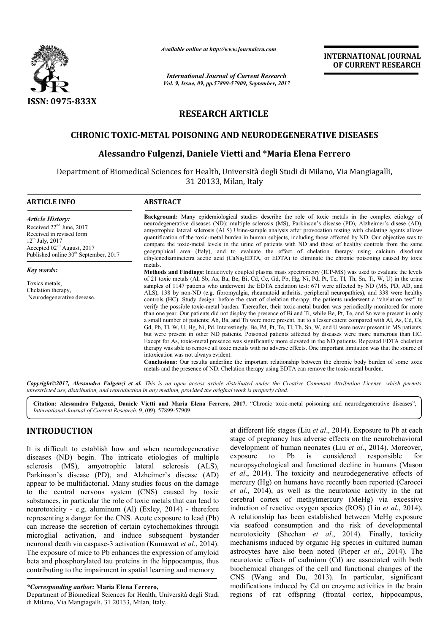

*Available online at http://www.journalcra.com*

# **RESEARCH ARTICLE**

## **CHRONIC TOXIC-METAL POISONING AND NEURODEGENERATIVE DISEASES METAL**

## **Alessandro Fulgenzi, Daniele Vietti and \*Maria Elena Ferrero \*Maria**

|                                                                                                                                                                                                                                                                                                                                                                                                                                                                                                                                                                                                                                                                                                                                                                                                                                                                                                                                                    | л ганионе опите ин пир.// www.journatera.com<br><b>International Journal of Current Research</b>                                                  | <b>INTERNATIONAL JOURNAL</b><br>OF CURRENT RESEARCH                                                                                                                                                                                                                                                                                                                                                                                                                                                                                                                                                                                                                                                                                                                                                                                                                                                                                                                                                                                                                                                                                                                                                                                                                                                                                                                                                                                                                                                                                                |                                                                                                                                                                                                                                                                                                                                                                                                                                                                                                                                                                                                                                                                                                                                                                                                                                                                                                                                                                                                                                                                    |  |  |  |  |  |  |  |  |  |
|----------------------------------------------------------------------------------------------------------------------------------------------------------------------------------------------------------------------------------------------------------------------------------------------------------------------------------------------------------------------------------------------------------------------------------------------------------------------------------------------------------------------------------------------------------------------------------------------------------------------------------------------------------------------------------------------------------------------------------------------------------------------------------------------------------------------------------------------------------------------------------------------------------------------------------------------------|---------------------------------------------------------------------------------------------------------------------------------------------------|----------------------------------------------------------------------------------------------------------------------------------------------------------------------------------------------------------------------------------------------------------------------------------------------------------------------------------------------------------------------------------------------------------------------------------------------------------------------------------------------------------------------------------------------------------------------------------------------------------------------------------------------------------------------------------------------------------------------------------------------------------------------------------------------------------------------------------------------------------------------------------------------------------------------------------------------------------------------------------------------------------------------------------------------------------------------------------------------------------------------------------------------------------------------------------------------------------------------------------------------------------------------------------------------------------------------------------------------------------------------------------------------------------------------------------------------------------------------------------------------------------------------------------------------------|--------------------------------------------------------------------------------------------------------------------------------------------------------------------------------------------------------------------------------------------------------------------------------------------------------------------------------------------------------------------------------------------------------------------------------------------------------------------------------------------------------------------------------------------------------------------------------------------------------------------------------------------------------------------------------------------------------------------------------------------------------------------------------------------------------------------------------------------------------------------------------------------------------------------------------------------------------------------------------------------------------------------------------------------------------------------|--|--|--|--|--|--|--|--|--|
|                                                                                                                                                                                                                                                                                                                                                                                                                                                                                                                                                                                                                                                                                                                                                                                                                                                                                                                                                    |                                                                                                                                                   | Vol. 9, Issue, 09, pp.57899-57909, September, 2017                                                                                                                                                                                                                                                                                                                                                                                                                                                                                                                                                                                                                                                                                                                                                                                                                                                                                                                                                                                                                                                                                                                                                                                                                                                                                                                                                                                                                                                                                                 |                                                                                                                                                                                                                                                                                                                                                                                                                                                                                                                                                                                                                                                                                                                                                                                                                                                                                                                                                                                                                                                                    |  |  |  |  |  |  |  |  |  |
| ISSN: 0975-833X                                                                                                                                                                                                                                                                                                                                                                                                                                                                                                                                                                                                                                                                                                                                                                                                                                                                                                                                    | <b>RESEARCH ARTICLE</b>                                                                                                                           |                                                                                                                                                                                                                                                                                                                                                                                                                                                                                                                                                                                                                                                                                                                                                                                                                                                                                                                                                                                                                                                                                                                                                                                                                                                                                                                                                                                                                                                                                                                                                    |                                                                                                                                                                                                                                                                                                                                                                                                                                                                                                                                                                                                                                                                                                                                                                                                                                                                                                                                                                                                                                                                    |  |  |  |  |  |  |  |  |  |
|                                                                                                                                                                                                                                                                                                                                                                                                                                                                                                                                                                                                                                                                                                                                                                                                                                                                                                                                                    |                                                                                                                                                   |                                                                                                                                                                                                                                                                                                                                                                                                                                                                                                                                                                                                                                                                                                                                                                                                                                                                                                                                                                                                                                                                                                                                                                                                                                                                                                                                                                                                                                                                                                                                                    |                                                                                                                                                                                                                                                                                                                                                                                                                                                                                                                                                                                                                                                                                                                                                                                                                                                                                                                                                                                                                                                                    |  |  |  |  |  |  |  |  |  |
|                                                                                                                                                                                                                                                                                                                                                                                                                                                                                                                                                                                                                                                                                                                                                                                                                                                                                                                                                    | <b>CHRONIC TOXIC-METAL POISONING AND NEURODEGENERATIVE DISEASES</b>                                                                               |                                                                                                                                                                                                                                                                                                                                                                                                                                                                                                                                                                                                                                                                                                                                                                                                                                                                                                                                                                                                                                                                                                                                                                                                                                                                                                                                                                                                                                                                                                                                                    |                                                                                                                                                                                                                                                                                                                                                                                                                                                                                                                                                                                                                                                                                                                                                                                                                                                                                                                                                                                                                                                                    |  |  |  |  |  |  |  |  |  |
|                                                                                                                                                                                                                                                                                                                                                                                                                                                                                                                                                                                                                                                                                                                                                                                                                                                                                                                                                    | Alessandro Fulgenzi, Daniele Vietti and *Maria Elena Ferrero                                                                                      |                                                                                                                                                                                                                                                                                                                                                                                                                                                                                                                                                                                                                                                                                                                                                                                                                                                                                                                                                                                                                                                                                                                                                                                                                                                                                                                                                                                                                                                                                                                                                    |                                                                                                                                                                                                                                                                                                                                                                                                                                                                                                                                                                                                                                                                                                                                                                                                                                                                                                                                                                                                                                                                    |  |  |  |  |  |  |  |  |  |
|                                                                                                                                                                                                                                                                                                                                                                                                                                                                                                                                                                                                                                                                                                                                                                                                                                                                                                                                                    | Department of Biomedical Sciences for Health, Università degli Studi di Milano, Via Mangiagalli,                                                  | 31 20133, Milan, Italy                                                                                                                                                                                                                                                                                                                                                                                                                                                                                                                                                                                                                                                                                                                                                                                                                                                                                                                                                                                                                                                                                                                                                                                                                                                                                                                                                                                                                                                                                                                             |                                                                                                                                                                                                                                                                                                                                                                                                                                                                                                                                                                                                                                                                                                                                                                                                                                                                                                                                                                                                                                                                    |  |  |  |  |  |  |  |  |  |
| <b>ARTICLE INFO</b>                                                                                                                                                                                                                                                                                                                                                                                                                                                                                                                                                                                                                                                                                                                                                                                                                                                                                                                                | <b>ABSTRACT</b>                                                                                                                                   |                                                                                                                                                                                                                                                                                                                                                                                                                                                                                                                                                                                                                                                                                                                                                                                                                                                                                                                                                                                                                                                                                                                                                                                                                                                                                                                                                                                                                                                                                                                                                    |                                                                                                                                                                                                                                                                                                                                                                                                                                                                                                                                                                                                                                                                                                                                                                                                                                                                                                                                                                                                                                                                    |  |  |  |  |  |  |  |  |  |
| <b>Article History:</b><br>Received 22 <sup>nd</sup> June, 2017<br>Received in revised form<br>$12^{th}$ July, 2017<br>Accepted 02 <sup>nd</sup> August, 2017<br>Published online 30 <sup>th</sup> September, 2017                                                                                                                                                                                                                                                                                                                                                                                                                                                                                                                                                                                                                                                                                                                                 |                                                                                                                                                   | <b>Background:</b> Many epidemiological studies describe the role of toxic metals in the complex etiology of<br>neurodegenerative diseases (ND): multiple sclerosis (MS), Parkinson's disease (PD), Alzheimer's disese (AD),<br>amyotrophic lateral sclerosis (ALS) Urine-sample analysis after provocation testing with chelating agents allows<br>quantification of the toxic-metal burden in human subjects, including those affected by ND. Our objective was to<br>compare the toxic-metal levels in the urine of patients with ND and those of healthy controls from the same<br>geographical area (Italy), and to evaluate the effect of chelation therapy using calcium disodium<br>ethylenediaminetetra acetic acid (CaNa <sub>2</sub> EDTA, or EDTA) to eliminate the chronic poisoning caused by toxic                                                                                                                                                                                                                                                                                                                                                                                                                                                                                                                                                                                                                                                                                                                                  |                                                                                                                                                                                                                                                                                                                                                                                                                                                                                                                                                                                                                                                                                                                                                                                                                                                                                                                                                                                                                                                                    |  |  |  |  |  |  |  |  |  |
| <b>Key words:</b><br>Toxics metals.<br>Chelation therapy,<br>Neurodegenerative desease.                                                                                                                                                                                                                                                                                                                                                                                                                                                                                                                                                                                                                                                                                                                                                                                                                                                            | metals.<br>intoxication was not always evident.<br>metals and the presence of ND. Chelation therapy using EDTA can remove the toxic-metal burden. | Methods and Findings: Inductively coupled plasma mass spectrometry (ICP-MS) was used to evaluate the levels<br>of 21 toxic metals (Al, Sb, As, Ba, Be, Bi, Cd, Ce, Gd, Pb, Hg, Ni, Pd, Pt, Te, Tl, Th, Sn, Ti, W, U) in the urine<br>samples of 1147 patients who underwent the EDTA chelation test: 671 were affected by ND (MS, PD, AD, and<br>ALS), 138 by non-ND (e.g. fibromyalgia, rheumatoid arthritis, peripheral neuropathies), and 338 were healthy<br>controls (HC). Study design: before the start of chelation therapy, the patients underwent a "chelation test" to<br>verify the possible toxic-metal burden. Thereafter, their toxic-metal burden was periodically monitored for more<br>than one year. Our patients did not display the presence of Bi and Ti, while Be, Pt, Te, and Sn were present in only<br>a small number of patients; Ab, Ba, and Th were more present, but to a lesser extent compared with Al, As, Cd, Cs,<br>Gd, Pb, Tl, W, U, Hg, Ni, Pd. Interestingly, Be, Pd, Pt, Te, Tl, Th, Sn, W, and U were never present in MS patients,<br>but were present in other ND patients. Poisoned patients affected by diseases were more numerous than HC.<br>Except for As, toxic-metal presence was significantly more elevated in the ND patients. Repeated EDTA chelation<br>therapy was able to remove all toxic metals with no adverse effects. One important limitation was that the source of<br>Conclusions: Our results underline the important relationship between the chronic body burden of some toxic |                                                                                                                                                                                                                                                                                                                                                                                                                                                                                                                                                                                                                                                                                                                                                                                                                                                                                                                                                                                                                                                                    |  |  |  |  |  |  |  |  |  |
|                                                                                                                                                                                                                                                                                                                                                                                                                                                                                                                                                                                                                                                                                                                                                                                                                                                                                                                                                    | unrestricted use, distribution, and reproduction in any medium, provided the original work is properly cited.                                     |                                                                                                                                                                                                                                                                                                                                                                                                                                                                                                                                                                                                                                                                                                                                                                                                                                                                                                                                                                                                                                                                                                                                                                                                                                                                                                                                                                                                                                                                                                                                                    | Copyright©2017, Alessandro Fulgenzi et al. This is an open access article distributed under the Creative Commons Attribution License, which permits                                                                                                                                                                                                                                                                                                                                                                                                                                                                                                                                                                                                                                                                                                                                                                                                                                                                                                                |  |  |  |  |  |  |  |  |  |
| International Journal of Current Research, 9, (09), 57899-57909.                                                                                                                                                                                                                                                                                                                                                                                                                                                                                                                                                                                                                                                                                                                                                                                                                                                                                   |                                                                                                                                                   |                                                                                                                                                                                                                                                                                                                                                                                                                                                                                                                                                                                                                                                                                                                                                                                                                                                                                                                                                                                                                                                                                                                                                                                                                                                                                                                                                                                                                                                                                                                                                    | Citation: Alessandro Fulgenzi, Daniele Vietti and Maria Elena Ferrero, 2017. "Chronic toxic-metal poisoning and neurodegenerative diseases",                                                                                                                                                                                                                                                                                                                                                                                                                                                                                                                                                                                                                                                                                                                                                                                                                                                                                                                       |  |  |  |  |  |  |  |  |  |
| <b>INTRODUCTION</b>                                                                                                                                                                                                                                                                                                                                                                                                                                                                                                                                                                                                                                                                                                                                                                                                                                                                                                                                |                                                                                                                                                   |                                                                                                                                                                                                                                                                                                                                                                                                                                                                                                                                                                                                                                                                                                                                                                                                                                                                                                                                                                                                                                                                                                                                                                                                                                                                                                                                                                                                                                                                                                                                                    | at different life stages (Liu et al., 2014). Exposure to Pb at each                                                                                                                                                                                                                                                                                                                                                                                                                                                                                                                                                                                                                                                                                                                                                                                                                                                                                                                                                                                                |  |  |  |  |  |  |  |  |  |
| It is difficult to establish how and when neurodegenerative<br>diseases (ND) begin. The intricate etiologies of multiple<br>sclerosis (MS), amyotrophic<br>Parkinson's disease (PD), and Alzheimer's disease (AD)<br>appear to be multifactorial. Many studies focus on the damage<br>to the central nervous system (CNS) caused by toxic<br>substances, in particular the role of toxic metals that can lead to<br>neurotoxicity - e.g. aluminum (Al) (Exley, 2014) - therefore<br>representing a danger for the CNS. Acute exposure to lead (Pb)<br>can increase the secretion of certain cytochemokines through<br>microglial activation, and induce subsequent bystander<br>neuronal death via caspase-3 activation (Kumawat et al., 2014).<br>The exposure of mice to Pb enhances the expression of amyloid<br>beta and phosphorylated tau proteins in the hippocampus, thus<br>contributing to the impairment in spatial learning and memory | lateral<br>sclerosis<br>$(ALS)$ ,                                                                                                                 | exposure<br>Pb<br>to                                                                                                                                                                                                                                                                                                                                                                                                                                                                                                                                                                                                                                                                                                                                                                                                                                                                                                                                                                                                                                                                                                                                                                                                                                                                                                                                                                                                                                                                                                                               | stage of pregnancy has adverse effects on the neurobehavioral<br>development of human neonates (Liu et al., 2014). Moreover,<br>considered<br>is<br>responsible<br>for<br>neuropsychological and functional decline in humans (Mason<br>et al., 2014). The toxicity and neurodegenerative effects of<br>mercury (Hg) on humans have recently been reported (Carocci<br>et al., 2014), as well as the neurotoxic activity in the rat<br>cerebral cortex of methylmercury (MeHg) via excessive<br>induction of reactive oxygen species (ROS) (Liu et al., 2014).<br>A relationship has been established between MeHg exposure<br>via seafood consumption and the risk of developmental<br>neurotoxicity (Sheehan et al., 2014). Finally, toxicity<br>mechanisms induced by organic Hg species in cultured human<br>astrocytes have also been noted (Pieper et al., 2014). The<br>neurotoxic effects of cadmium (Cd) are associated with both<br>biochemical changes of the cell and functional changes of the<br>CNS (Wang and Du, 2013). In particular, significant |  |  |  |  |  |  |  |  |  |
| *Corresponding author: Maria Elena Ferrero,                                                                                                                                                                                                                                                                                                                                                                                                                                                                                                                                                                                                                                                                                                                                                                                                                                                                                                        |                                                                                                                                                   |                                                                                                                                                                                                                                                                                                                                                                                                                                                                                                                                                                                                                                                                                                                                                                                                                                                                                                                                                                                                                                                                                                                                                                                                                                                                                                                                                                                                                                                                                                                                                    | modifications induced by Cd on enzyme activities in the brain                                                                                                                                                                                                                                                                                                                                                                                                                                                                                                                                                                                                                                                                                                                                                                                                                                                                                                                                                                                                      |  |  |  |  |  |  |  |  |  |

## **INTRODUCTION**

Department of Biomedical Sciences for Health, Università degli Studi di Milano, Via Mangiagalli, 31 20133, Milan, Italy ibuting to the impairment in spatial learni<br> **Expanding author: Maria Elena Ferrero,**<br>
tment of Biomedical Sciences for Health, Un<br>
lano, Via Mangiagalli, 31 20133, Milan, Italy.

at different life stages (Liu *et al* ., 2014). Exposure to Pb at each stage of pregnancy has adverse effects on the neurobehavioral stage of pregnancy has adverse effects on the neurobehavioral development of human neonates (Liu *et al.*, 2014). Moreover, exposure to Pb is considered responsible for exposure to Pb is considered responsible for<br>neuropsychological and functional decline in humans (Mason *et al*., 2014). The toxicity and neurodegenerative effects of et al., 2014). The toxicity and neurodegenerative effects of mercury (Hg) on humans have recently been reported (Carocci *et al*., 2014), as well as the neurotoxic activity in the rat et al., 2014), as well as the neurotoxic activity in the rat cerebral cortex of methylmercury (MeHg) via excessive induction of reactive oxygen species (ROS) (Liu *et al*., 2014). A relationship has been established between MeHg exposure via seafood consumption and the risk of developmental neurotoxicity (Sheehan *et al al*., 2014). Finally, toxicity mechanisms induced by organic Hg species in cultured human mechanisms induced by organic Hg species in cultured human astrocytes have also been noted (Pieper *et al.*, 2014). The neurotoxic effects of cadmium (Cd) are associated with both neurotoxic effects of cadmium (Cd) are associated with both<br>biochemical changes of the cell and functional changes of the CNS (Wang and Du, 2013 2013). In particular, significant modifications induced by Cd on enzyme activities in the brain regions of rat offspring (frontal cortex, hippocampus,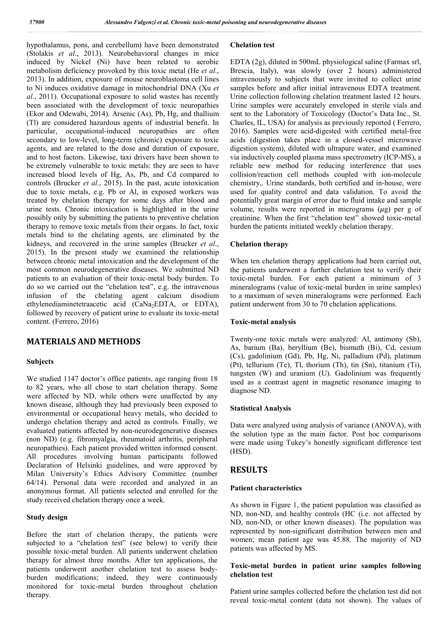hypothalamus, pons, and cerebellum) have been demonstrated (Stolakis *et al*., 2013). Neurobehavioral changes in mice induced by Nickel (Ni) have been related to aerobic metabolism deficiency provoked by this toxic metal (He *et al*., 2013). In addition, exposure of mouse neuroblastoma cell lines to Ni induces oxidative damage in mitochondrial DNA (Xu *et al*., 2011). Occupational exposure to solid wastes has recently been associated with the development of toxic neuropathies (Ekor and Odewabi, 2014). Arsenic (As), Pb, Hg, and thallium (Tl) are considered hazardous agents of industrial benefit. In particular, occupational-induced neuropathies are often secondary to low-level, long-term (chronic) exposure to toxic agents, and are related to the dose and duration of exposure, and to host factors. Likewise, taxi drivers have been shown to be extremely vulnerable to toxic metals: they are seen to have increased blood levels of Hg, As, Pb, and Cd compared to controls (Brucker *et al*., 2015). In the past, acute intoxication due to toxic metals, e.g. Pb or Al, in exposed workers was treated by chelation therapy for some days after blood and urine tests. Chronic intoxication is highlighted in the urine possibly only by submitting the patients to preventive chelation therapy to remove toxic metals from their organs. In fact, toxic metals bind to the chelating agents, are eliminated by the kidneys, and recovered in the urine samples (Brucker *et al*., 2015). In the present study we examined the relationship between chronic metal intoxication and the development of the most common neurodegenerative diseases. We submitted ND patients to an evaluation of their toxic-metal body burden. To do so we carried out the "chelation test", e.g. the intravenous infusion of the chelating agent calcium disodium ethylenediaminetetraacetic acid (CaNa<sub>2</sub>EDTA, or EDTA), followed by recovery of patient urine to evaluate its toxic-metal content. (Ferrero, 2016)

### **MATERIALS AND METHODS**

### **Subjects**

We studied 1147 doctor's office patients, age ranging from 18 to 82 years, who all chose to start chelation therapy. Some were affected by ND, while others were unaffected by any known disease, although they had previously been exposed to environmental or occupational heavy metals, who decided to undergo chelation therapy and acted as controls. Finally, we evaluated patients affected by non-neurodegenerative diseases (non ND) (e.g. fibromyalgia, rheumatoid arthritis, peripheral neuropathies). Each patient provided written informed consent. All procedures involving human participants followed Declaration of Helsinki guidelines, and were approved by Milan University's Ethics Advisory Committee (number 64/14). Personal data were recorded and analyzed in an anonymous format. All patients selected and enrolled for the study received chelation therapy once a week.

#### **Study design**

Before the start of chelation therapy, the patients were subjected to a "chelation test" (see below) to verify their possible toxic-metal burden. All patients underwent chelation therapy for almost three months. After ten applications, the patients underwent another chelation test to assess bodyburden modifications; indeed, they were continuously monitored for toxic-metal burden throughout chelation therapy.

#### **Chelation test**

EDTA (2g), diluted in 500mL physiological saline (Farmax srl, Brescia, Italy), was slowly (over 2 hours) administered intravenously to subjects that were invited to collect urine samples before and after initial intravenous EDTA treatment. Urine collection following chelation treatment lasted 12 hours. Urine samples were accurately enveloped in sterile vials and sent to the Laboratory of Toxicology (Doctor's Data Inc., St. Charles, IL, USA) for analysis as previously reported ( Ferrero, 2016). Samples were acid-digested with certified metal-free acids (digestion takes place in a closed-vessel microwave digestion system), diluted with ultrapure water, and examined via inductively coupled plasma mass spectrometry (ICP-MS), a reliable new method for reducing interference that uses collision/reaction cell methods coupled with ion-molecule chemistry,. Urine standards, both certified and in-house, were used for quality control and data validation. To avoid the potentially great margin of error due to fluid intake and sample volume, results were reported in micrograms  $(\mu g)$  per g of creatinine. When the first "chelation test" showed toxic-metal burden the patients initiated weekly chelation therapy.

#### **Chelation therapy**

When ten chelation therapy applications had been carried out, the patients underwent a further chelation test to verify their toxic-metal burden. For each patient a minimum of 3 mineralograms (value of toxic-metal burden in urine samples) to a maximum of seven mineralograms were performed. Each patient underwent from 30 to 70 chelation applications.

#### **Toxic-metal analysis**

Twenty-one toxic metals were analyzed: Al, antimony (Sb), As, barium (Ba), beryllium (Be), bismuth (Bi), Cd, cesium (Cs), gadolinium (Gd), Pb, Hg, Ni, palladium (Pd), platinum (Pt), tellurium (Te), Tl, thorium (Th), tin (Sn), titanium (Ti), tungsten (W) and uranium (U). Gadolinium was frequently used as a contrast agent in magnetic resonance imaging to diagnose ND.

#### **Statistical Analysis**

Data were analyzed using analysis of variance (ANOVA), with the solution type as the main factor. Post hoc comparisons were made using Tukey's honestly significant difference test (HSD).

### **RESULTS**

#### **Patient characteristics**

As shown in Figure 1, the patient population was classified as ND, non-ND, and healthy controls (HC (i.e. not affected by ND, non-ND, or other known diseases). The population was represented by non-significant distribution between men and women; mean patient age was 45.88. The majority of ND patients was affected by MS.

#### **Toxic-metal burden in patient urine samples following chelation test**

Patient urine samples collected before the chelation test did not reveal toxic-metal content (data not shown). The values of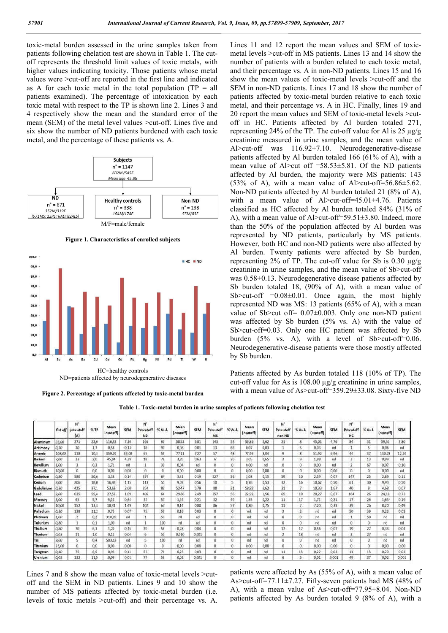toxic-metal burden assessed in the urine samples taken from patients following chelation test are shown in Table 1. The cutoff represents the threshold limit values of toxic metals, with higher values indicating toxicity. Those patients whose metal values were >cut-off are reported in the first line and indicated as A for each toxic metal in the total population  $(TP = all$ patients examined). The percentage of intoxication by each toxic metal with respect to the TP is shown line 2. Lines 3 and 4 respectively show the mean and the standard error of the mean (SEM) of the metal level values >cut-off. Lines five and six show the number of ND patients burdened with each toxic metal, and the percentage of these patients vs. A.



**Figure 1. Characteristics of enrolled subjects**



ND=patients affected by neurodegenerative diseases

**Figure 2. Percentage of patients affected by toxic-metal burden**

Lines 11 and 12 report the mean values and SEM of toxicmetal levels >cut-off in MS patients. Lines 13 and 14 show the number of patients with a burden related to each toxic metal, and their percentage vs. A in non-ND patients. Lines 15 and 16 show the mean values of toxic-metal levels >cut-off and the SEM in non-ND patients. Lines 17 and 18 show the number of patients affected by toxic-metal burden relative to each toxic metal, and their percentage vs. A in HC. Finally, lines 19 and 20 report the mean values and SEM of toxic-metal levels >cutoff in HC. Patients affected by Al burden totaled 271, representing 24% of the TP. The cut-off value for Al is 25  $\mu$ g/g creatinine measured in urine samples, and the mean value of Al>cut-off was 116.92±7.10. Neurodegenerative-disease patients affected by Al burden totaled 166 (61% of A), with a mean value of Al>cut of  $f = 58.53 \pm 5.81$ . Of the ND patients affected by Al burden, the majority were MS patients: 143 (53% of A), with a mean value of Al>cut-off=56.86 $\pm$ 5.62. Non-ND patients affected by Al burden totaled 21 (8% of A), with a mean value of Al>cut-off=45.01±4.76. Patients classified as HC affected by Al burden totaled 84% (31% of A), with a mean value of Al>cut-off=59.51±3.80. Indeed, more than the 50% of the population affected by Al burden was represented by ND patients, particularly by MS patients. However, both HC and non-ND patients were also affected by Al burden. Twenty patients were affected by Sb burden, representing 2% of TP. The cut-off value for Sb is 0.30 µg/g creatinine in urine samples, and the mean value of Sb>cut-off was 0.58±0.13. Neurodegenerative disease patients affected by Sb burden totaled 18, (90% of A), with a mean value of Sb $>$ cut-off =0.08 $\pm$ 0.01. Once again, the most highly represented ND was MS: 13 patients (65% of A), with a mean value of Sb>cut off= 0.07±0.003. Only one non-ND patient was affected by Sb burden (5% vs. A) with the value of Sb>cut-off=0.03. Only one HC patient was affected by Sb burden (5% vs. A), with a level of Sb>cut-off=0.06. Neurodegenerative-disease patients were those mostly affected by Sb burden.

Patients affected by As burden totaled 118 (10% of TP). The cut-off value for As is 108.00 µg/g creatinine in urine samples, with a mean value of As>cut-off=359.29±33.08. Sixty-five ND



|                             | Cut off | $N^*$<br>p2>cutoff<br>${A}$ | %TP  | Mean<br>(>cutoff) | SEM   | $N^*$<br>Pz>cutoff<br><b>ND</b> | % Vs A   | Mean<br>(>cutoff) | <b>SEM</b>   | N.<br>Pz>cutoff<br>MS | % V <sub>8</sub> A | Mean<br>(>cutoff) | <b>SEM</b> | N°<br>Pz>cutoff<br>non ND | % Vs A                  | Mean<br>(>cutoff) | SEM   | N°<br>Pz>cutoff<br>HC   | % Vs A   | Mean<br>(>cutoff) | SEM    |
|-----------------------------|---------|-----------------------------|------|-------------------|-------|---------------------------------|----------|-------------------|--------------|-----------------------|--------------------|-------------------|------------|---------------------------|-------------------------|-------------------|-------|-------------------------|----------|-------------------|--------|
| Aluminum                    | 25,00   | 271                         | 23,6 | 116,92            | 7,10  | 166                             | 61       | 58,53             | 5,81         | 143                   | 53                 | 56,86             | 5,62       | $^{21}$                   | 8                       | 45,01             | 4,76  | 84                      | 31       | S9,51             | 3,80   |
| Antimony                    | 0,30    | 20                          | 1,7  | 0,58              | 0,13  | 18                              | 90       | 0,08              | 0,01         | 13                    | 65                 | 0,07              | 0,03       |                           | s.                      | 0,03              | nd    |                         | s        | 0.06              | nd     |
| Arsenic                     | 108,00  | 118                         | 10,3 | 359,29            | 33,08 | 65                              | 55       | 77,11             | 7,27         | 57                    | 48                 | 77,95             | 8,04       | q                         | 8                       | 51,92             | 6,96  | 44                      | 37       | 130,78            | 12,20  |
| <b><i><u>Barium</u></i></b> | 7,00    | 23                          | 2,0  | 45,04             | 4,39  | 18                              | 78       | 3,85              | 0,63         | $\delta$              | 26                 | 3,05              | 0,65       | ÿ                         | q.                      | 1,98              | nd    | 3                       | 13       | 0,99              | hd     |
| Beryllium                   | 1,00    |                             | 0.3  | 1.71              | nd    | 1                               | 33       | 0,04              | nd           | $\mathbf{0}$          | a                  | 0,00              | nd         | o                         | Ü.                      | 0,00              | nd    | $\overline{\mathbf{z}}$ | 67       | 0,07              | 0,10   |
| Bismuth                     | 10,00   | $\mathbf{0}$                | 0,0  | 0,00              | 0,00  | $\circ$                         | $\theta$ | 0.00              | 0,00         | o                     | o                  | 0.00              | 0,00       | O                         | $^{\circ}$              | 0,00              | 0,00  | n                       | $\theta$ | 0,00              | hd     |
| Cadmium                     | 0,80    | 580                         | 50,6 | 3,38              | 0.14  | 374                             | 64       | 3,31              | 0,19         | 327                   | 56                 | 3,08              | 0,15       | 59                        | 10                      | 2,59              | 0.07  | 147                     | 25       | 2,89              | 0,11   |
| Cesium                      | 9,00    | 206                         | 18.0 | 16,48             | 1.15  | 113                             | 55       | 9,09              | 0,56         | 10                    |                    | 8,78              | 0.53       | 32                        | 16                      | 10,62             | 0,50  | 61                      | 30       | 9,93              | 0,50   |
| Gadolinium                  | 0,30    | 425                         | 37,1 | 53.62             | 2.60  | 354                             | 83       | 52,47             | 5,79         | 88                    | $^{21}$            | 58.83             | 6.62       | 31                        | $\mathcal{F}$           | 10,33             | 1.67  | 40                      | 9        | 4,68              | 0,67   |
| Lead                        | 2,00    | 635                         | 55,4 | 27,52             | 1,09  | 406                             | 64       | 29,86             | 2,49         | 357                   | 56                 | 22,92             | 1,56       | 65                        | 10                      | 20,27             | 0,67  | 164                     | 26       | 24,10             | 0,73   |
| Mercury                     | 3,00    | 65                          | 5,7  | 5,12              | 0.64  | 37                              | 57       | 1,54              | 0,21         | 32                    | 49                 | 1.55              | 0,22       | 11                        | 17                      | 1,71              | 0.21  | 17                      | 26       | 1,63              | 0,19   |
| Nickel                      | 10,00   | 152                         | 13,3 | 18,41             | 1,49  | 102                             | 67       | 9,14              | 0,80         | 86                    | 57                 | 8,80              | 0,75       | 11                        | 7.                      | 7,20              | 0,33  | 39                      | 26       | 8,20              | 0,49   |
| Palladium                   | 0, 30   | 128                         | 11,2 | 0,75              | 0.07  | 75                              | 59       | 0.16              | 0,03         | $\bf{0}$              | ū                  | nd.               | nd         | È                         | $\overline{\mathbf{2}}$ | nd                | rid   | 50                      | 39       | 0,23              | 0,03   |
| Platinum                    | 1,00    | 2                           | 0.2  | 310,69            | nd    | 1                               | 50       | nd                | nd           | $\theta$              | 0                  | nd                | nd         | 0                         | 0                       | nd                | nd    |                         | 50       | nd                | nd     |
| Tellurium                   | 0,80    |                             | 0.1  | 1,00              | nd    |                                 | 100      | nd                | nd           | 0                     | o                  | nd                | nd         | $\alpha$                  | o.                      | nd                | nd    | o                       | 0        | nd                | nd     |
| Thallium                    | 0,50    | 70                          | 6,1  | 1,22              | 0,15  | 39                              | 56       | 0.28              | 0.04         | Ü.                    | ø                  | nd                | nd         | 12                        | 17                      | 0.56              | 0,07  | 19                      | 27       | 0,34              | 0,04   |
| Thorium                     | 0,03    | 11                          | 1,0  | 0,12              | 0,04  | 6                               | 55       | 0,010             | 0,001        | $\theta$              | $\Omega$           | nd                | nd         |                           | 18                      | nd                | nd    |                         | 27       | nd                | nd     |
| Tin                         | 9,00    | 5                           | 0,4  | 503,12            | nd    | 5                               | 100      | nd                | nd           | Ü                     | o                  | nd                | nd         | $\Omega$                  | Ü.                      | nd                | nd    | 0.                      | $\sigma$ | nd                | nd     |
| Titanium                    | 15,00   | 0                           | 0,0  | 0,00              | 0,00  | O.                              | O.       | 0,00              | 0,00         | $^{\circ}$            | Ü                  | 0,00              | 0,00       | Ö                         | 0                       | 0,00              | 0,00  | o.                      | 0        | 0,00              | 0,00   |
| Tungsten                    | 0,40    | 75.                         | 6,5  | 0,93              | 0.11  | 53                              | 71       | 0.25              | 0.03         | $\alpha$              | ū                  | nd                | nd         | 11                        | 15                      | 0,22              | 0,03  | 11                      | 15       | 0,20              | 0.03   |
| <b>Flexedown</b>            | 0.02    | 122                         | 115  | 0.00              | 75.03 | ファ                              | 5,9      | 0.05              | <b>CLOSS</b> | n                     |                    |                   | ш          |                           |                         | 0.01              | 0.001 | AG                      | 27       | 0.033             | 20.001 |

Lines 7 and 8 show the mean value of toxic-metal levels  $>$ cutoff and the SEM in ND patients. Lines 9 and 10 show the number of MS patients affected by toxic-metal burden (i.e. levels of toxic metals >cut-off) and their percentage vs. A.

patients were affected by As (55% of A), with a mean value of As>cut-off=77.11±7.27. Fifty-seven patients had MS (48% of A), with a mean value of As>cut-off=77.95±8.04. Non-ND patients affected by As burden totaled 9 (8% of A), with a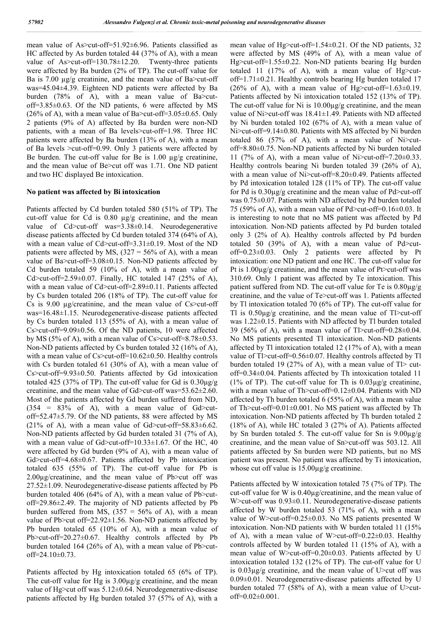mean value of As>cut-off=51.92±6.96. Patients classified as HC affected by As burden totaled 44 (37% of A), with a mean value of As>cut-off=130.78±12.20. Twenty-three patients were affected by Ba burden (2% of TP). The cut-off value for Ba is 7.00 µg/g creatinine, and the mean value of Ba>cut-off was=45.04±4.39. Eighteen ND patients were affected by Ba burden (78% of A), with a mean value of Ba>cutoff=3.85±0.63. Of the ND patients, 6 were affected by MS (26% of A), with a mean value of Ba $>$ cut-off=3.05 $\pm$ 0.65. Only 2 patients (9% of A) affected by Ba burden were non-ND patients, with a mean of Ba levels>cut-off=1.98. Three HC patients were affected by Ba burden (13% of A), with a mean of Ba levels >cut-off=0.99. Only 3 patients were affected by Be burden. The cut-off value for Be is  $1.00 \mu g/g$  creatinine, and the mean value of Be>cut off was 1.71. One ND patient and two HC displayed Be intoxication.

#### **No patient was affected by Bi intoxication**

Patients affected by Cd burden totaled 580 (51% of TP). The cut-off value for Cd is 0.80 µg/g creatinine, and the mean value of Cd>cut-off was=3.38±0.14. Neurodegenerative disease patients affected by Cd burden totaled 374 (64% of A), with a mean value of Cd>cut-off=3.31±0.19. Most of the ND patients were affected by MS,  $(327 = 56\% \text{ of A})$ , with a mean value of Ba>cut-off=3.08±0.15. Non-ND patients affected by Cd burden totaled 59 (10% of A), with a mean value of Cd>cut-off=2.59±0.07. Finally, HC totaled 147 (25% of A), with a mean value of Cd>cut-off=2.89±0.11. Patients affected by Cs burden totaled 206 (18% of TP). The cut-off value for Cs is 9.00 µg/creatinine, and the mean value of Cs>cut-off was=16.48±1.15. Neurodegenerative-disease patients affected by Cs burden totaled 113 (55% of A), with a mean value of Cs>cut-off=9.09±0.56. Of the ND patients, 10 were affected by MS (5% of A), with a mean value of  $Cs$  > cut-off=8.78 $\pm$ 0.53. Non-ND patients affected by Cs burden totaled 32 (16% of A), with a mean value of Cs>cut-off=10.62±0.50. Healthy controls with Cs burden totaled 61 (30% of A), with a mean value of Cs>cut-off=9.93±0.50. Patients affected by Gd intoxication totaled 425 (37% of TP). The cut-off value for Gd is 0.30µg/g creatinine, and the mean value of Gd>cut-off was=53.62±2.60. Most of the patients affected by Gd burden suffered from ND,  $(354 = 83\% \text{ of } A)$ , with a mean value of Gd>cutoff=52.47±5.79. Of the ND patients, 88 were affected by MS (21% of A), with a mean value of Gd>cut-off=58.83 $\pm$ 6.62. Non-ND patients affected by Gd burden totaled 31 (7% of A), with a mean value of Gd>cut-off=10.33±1.67. Of the HC, 40 were affected by Gd burden (9% of A), with a mean value of Gd>cut-off=4.68±0.67. Patients affected by Pb intoxication totaled 635 (55% of TP). The cut-off value for Pb is  $2.00\mu$ g/creatinine, and the mean value of Pb>cut off was 27.52±1.09. Neurodegenerative-disease patients affected by Pb burden totaled 406 (64% of A), with a mean value of Pb>cutoff=29.86±2.49. The majority of ND patients affected by Pb burden suffered from MS,  $(357 = 56\% \text{ of A})$ , with a mean value of Pb>cut off=22.92±1.56. Non-ND patients affected by Pb burden totaled 65 (10% of A), with a mean value of Pb>cut-off=20.27±0.67. Healthy controls affected by Pb burden totaled 164 (26% of A), with a mean value of Pb>cutoff=24.10±0.73.

Patients affected by Hg intoxication totaled 65 (6% of TP). The cut-off value for Hg is 3.00µg/g creatinine, and the mean value of Hg>cut off was 5.12±0.64. Neurodegenerative-disease patients affected by Hg burden totaled 37 (57% of A), with a mean value of Hg>cut-off=1.54±0.21. Of the ND patients, 32 were affected by MS (49% of A), with a mean value of Hg>cut-off=1.55±0.22. Non-ND patients bearing Hg burden totaled 11 (17% of A), with a mean value of Hg>cutoff=1.71±0.21. Healthy controls bearing Hg burden totaled 17 (26% of A), with a mean value of Hg>cut-off=1.63 $\pm$ 0.19. Patients affected by Ni intoxication totaled 152 (13% of TP). The cut-off value for Ni is 10.00µg/g creatinine, and the mean value of Ni>cut-off was 18.41±1.49. Patients with ND affected by Ni burden totaled 102 (67% of A), with a mean value of Ni>cut-off=9.14±0.80. Patients with MS affected by Ni burden totaled 86 (57% of A), with a mean value of Ni>cutoff=8.80±0.75. Non-ND patients affected by Ni burden totaled 11 (7% of A), with a mean value of Ni>cut-off=7.20 $\pm$ 0.33. Healthy controls bearing Ni burden totaled 39 (26% of A), with a mean value of Ni>cut-off=8.20±0.49. Patients affected by Pd intoxication totaled 128 (11% of TP). The cut-off value for Pd is 0.30µg/g creatinine and the mean value of Pd>cut-off was 0.75±0.07. Patients with ND affected by Pd burden totaled 75 (59% of A), with a mean value of Pd>cut-off=0.16±0.03. It is interesting to note that no MS patient was affected by Pd intoxication. Non-ND patients affected by Pd burden totaled only 3 (2% of A). Healthy controls affected by Pd burden totaled 50 (39% of A), with a mean value of Pd>cutoff=0.23±0.03. Only 2 patients were affected by Pt intoxication: one ND patient and one HC. The cut-off value for Pt is  $1.00\mu$ g/g creatinine, and the mean value of Pt>cut-off was 310.69. Only 1 patient was affected by Te intoxication. This patient suffered from ND. The cut-off value for Te is 0.80µg/g creatinine, and the value of Te>cut-off was 1. Patients affected by Tl intoxication totaled 70 (6% of TP). The cut-off value for Tl is  $0.50\mu g/g$  creatinine, and the mean value of Tl>cut-off was 1.22±0.15. Patients with ND affected by Tl burden totaled 39 (56% of A), with a mean value of  $T$  > cut-off=0.28 $\pm$ 0.04. No MS patients presented Tl intoxication. Non-ND patients affected by Tl intoxication totaled 12 (17% of A), with a mean value of Tl>cut-off=0.56±0.07. Healthy controls affected by Tl burden totaled 19 (27% of A), with a mean value of  $T$  cutoff=0.34±0.04. Patients affected by Th intoxication totaled 11 (1% of TP). The cut-off value for Th is  $0.03\mu$ g/g creatinine, with a mean value of Th>cut-off=0.12±0.04. Patients with ND affected by Th burden totaled 6 (55% of A), with a mean value of Th>cut-off=0.01±0.001. No MS patient was affected by Th intoxication. Non-ND patients affected by Th burden totaled 2 (18% of A), while HC totaled 3 (27% of A). Patients affected by Sn burden totaled 5. The cut-off value for Sn is 9.00µg/g creatinine, and the mean value of Sn>cut-off was 503.12. All patients affected by Sn burden were ND patients, but no MS patient was present. No patient was affected by Ti intoxication, whose cut off value is  $15.00\mu$ g/g creatinine.

Patients affected by W intoxication totaled 75 (7% of TP). The cut-off value for W is 0.40µg/creatinine, and the mean value of W > cut-off was  $0.93\pm0.11$ . Neurodegenerative-disease patients affected by W burden totaled 53 (71% of A), with a mean value of W>cut-off=0.25±0.03. No MS patients presented W intoxication. Non-ND patients with W burden totaled 11 (15% of A), with a mean value of W>cut-off=0.22 $\pm$ 0.03. Healthy controls affected by W burden totaled 11 (15% of A), with a mean value of W>cut-off=0.20±0.03. Patients affected by U intoxication totaled 132 (12% of TP). The cut-off value for U is 0.03µg/g creatinine, and the mean value of U>cut off was 0.09±0.01. Neurodegenerative-disease patients affected by U burden totaled 77 (58% of A), with a mean value of U>cut $off=0.02\pm0.001$ .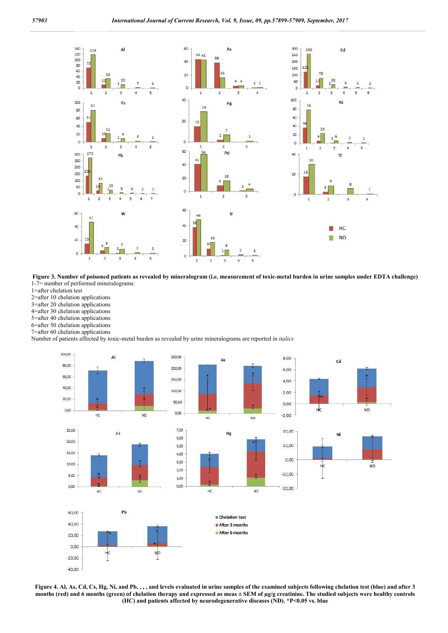

**Figure 3. Number of poisoned patients as revealed by mineralogram (i.e. measurement of toxic-metal burden in urine samples under EDTA challenge)** 1-7= number of performed mineralograms:

1=after chelation test

2=after 10 chelation applications

3=after 20 chelation applications

4=after 30 chelation applications

5=after 40 chelation applications

6=after 50 chelation applications

7=after 60 chelation applications

Number of patients affected by toxic-metal burden as revealed by urine mineralograms are reported in *italics*



**Figure 4. Al, As, Cd, Cs, Hg, Ni, and Pb, , , , and levels evaluated in urine samples of the examined subjects following chelation test (blue) and after 3 months (red) and 6 months (green) of chelation therapy and expressed as meas ± SEM of µg/g creatinine. The studied subjects were healthy controls (HC) and patients affected by neurodegenerative diseases (ND). \*P<0.05 vs. blue**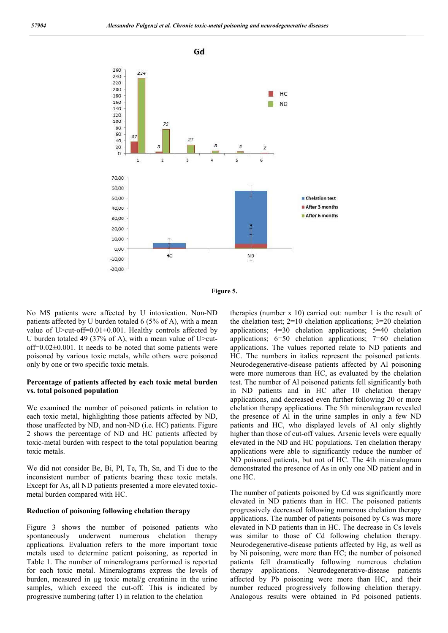



No MS patients were affected by U intoxication. Non-ND patients affected by U burden totaled 6 (5% of A), with a mean value of U>cut-off=0.01±0.001. Healthy controls affected by U burden totaled 49 (37% of A), with a mean value of U>cut $off=0.02\pm0.001$ . It needs to be noted that some patients were poisoned by various toxic metals, while others were poisoned only by one or two specific toxic metals.

#### **Percentage of patients affected by each toxic metal burden vs. total poisoned population**

We examined the number of poisoned patients in relation to each toxic metal, highlighting those patients affected by ND, those unaffected by ND, and non-ND (i.e. HC) patients. Figure 2 shows the percentage of ND and HC patients affected by toxic-metal burden with respect to the total population bearing toxic metals.

We did not consider Be, Bi, Pl, Te, Th, Sn, and Ti due to the inconsistent number of patients bearing these toxic metals. Except for As, all ND patients presented a more elevated toxicmetal burden compared with HC.

#### **Reduction of poisoning following chelation therapy**

Figure 3 shows the number of poisoned patients who spontaneously underwent numerous chelation therapy applications. Evaluation refers to the more important toxic metals used to determine patient poisoning, as reported in Table 1. The number of mineralograms performed is reported for each toxic metal. Mineralograms express the levels of burden, measured in µg toxic metal/g creatinine in the urine samples, which exceed the cut-off. This is indicated by progressive numbering (after 1) in relation to the chelation

therapies (number x 10) carried out: number 1 is the result of the chelation test; 2=10 chelation applications; 3=20 chelation applications; 4=30 chelation applications; 5=40 chelation applications; 6=50 chelation applications; 7=60 chelation applications. The values reported relate to ND patients and HC. The numbers in italics represent the poisoned patients. Neurodegenerative-disease patients affected by Al poisoning were more numerous than HC, as evaluated by the chelation test. The number of Al poisoned patients fell significantly both in ND patients and in HC after 10 chelation therapy applications, and decreased even further following 20 or more chelation therapy applications. The 5th mineralogram revealed the presence of Al in the urine samples in only a few ND patients and HC, who displayed levels of Al only slightly higher than those of cut-off values. Arsenic levels were equally elevated in the ND and HC populations. Ten chelation therapy applications were able to significantly reduce the number of ND poisoned patients, but not of HC. The 4th mineralogram demonstrated the presence of As in only one ND patient and in one HC.

The number of patients poisoned by Cd was significantly more elevated in ND patients than in HC. The poisoned patients progressively decreased following numerous chelation therapy applications. The number of patients poisoned by Cs was more elevated in ND patients than in HC. The decrease in Cs levels was similar to those of Cd following chelation therapy. Neurodegenerative-disease patients affected by Hg, as well as by Ni poisoning, were more than HC; the number of poisoned patients fell dramatically following numerous chelation therapy applications. Neurodegenerative-disease patients affected by Pb poisoning were more than HC, and their number reduced progressively following chelation therapy. Analogous results were obtained in Pd poisoned patients.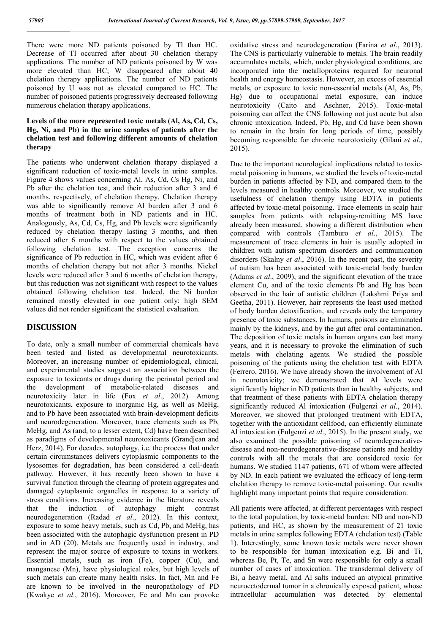There were more ND patients poisoned by Tl than HC. Decrease of Tl occurred after about 30 chelation therapy applications. The number of ND patients poisoned by W was more elevated than HC; W disappeared after about 40 chelation therapy applications. The number of ND patients poisoned by U was not as elevated compared to HC. The number of poisoned patients progressively decreased following numerous chelation therapy applications.

### **Levels of the more represented toxic metals (Al, As, Cd, Cs, Hg, Ni, and Pb) in the urine samples of patients after the chelation test and following different amounts of chelation therapy**

The patients who underwent chelation therapy displayed a significant reduction of toxic-metal levels in urine samples. Figure 4 shows values concerning Al, As, Cd, Cs Hg, Ni, and Pb after the chelation test, and their reduction after 3 and 6 months, respectively, of chelation therapy. Chelation therapy was able to significantly remove Al burden after 3 and 6 months of treatment both in ND patients and in HC. Analogously, As, Cd, Cs, Hg, and Pb levels were significantly reduced by chelation therapy lasting 3 months, and then reduced after 6 months with respect to the values obtained following chelation test. The exception concerns the significance of Pb reduction in HC, which was evident after 6 months of chelation therapy but not after 3 months. Nickel levels were reduced after 3 and 6 months of chelation therapy, but this reduction was not significant with respect to the values obtained following chelation test. Indeed, the Ni burden remained mostly elevated in one patient only: high SEM values did not render significant the statistical evaluation.

## **DISCUSSION**

To date, only a small number of commercial chemicals have been tested and listed as developmental neurotoxicants. Moreover, an increasing number of epidemiological, clinical, and experimental studies suggest an association between the exposure to toxicants or drugs during the perinatal period and the development of metabolic-related diseases and neurotoxicity later in life (Fox *et al*., 2012). Among neurotoxicants, exposure to inorganic Hg, as well as MeHg, and to Pb have been associated with brain-development deficits and neurodegeneration. Moreover, trace elements such as Pb, MeHg, and As (and, to a lesser extent, Cd) have been described as paradigms of developmental neurotoxicants (Grandjean and Herz, 2014). For decades, autophagy, i.e. the process that under certain circumstances delivers cytoplasmic components to the lysosomes for degradation, has been considered a cell-death pathway. However, it has recently been shown to have a survival function through the clearing of protein aggregates and damaged cytoplasmic organelles in response to a variety of stress conditions. Increasing evidence in the literature reveals that the induction of autophagy might contrast neurodegeneration (Radad *et al*., 2012). In this context, exposure to some heavy metals, such as Cd, Pb, and MeHg, has been associated with the autophagic dysfunction present in PD and in AD (20). Metals are frequently used in industry, and represent the major source of exposure to toxins in workers. Essential metals, such as iron (Fe), copper (Cu), and manganese (Mn), have physiological roles, but high levels of such metals can create many health risks. In fact, Mn and Fe are known to be involved in the neuropathology of PD (Kwakye *et al*., 2016). Moreover, Fe and Mn can provoke

oxidative stress and neurodegeneration (Farina *et al*., 2013). The CNS is particularly vulnerable to metals. The brain readily accumulates metals, which, under physiological conditions, are incorporated into the metalloproteins required for neuronal health and energy homeostasis. However, an excess of essential metals, or exposure to toxic non-essential metals (Al, As, Pb, Hg) due to occupational metal exposure, can induce neurotoxicity (Caito and Aschner, 2015). Toxic-metal poisoning can affect the CNS following not just acute but also chronic intoxication. Indeed, Pb, Hg, and Cd have been shown to remain in the brain for long periods of time, possibly becoming responsible for chronic neurotoxicity (Gilani *et al*., 2015).

Due to the important neurological implications related to toxicmetal poisoning in humans, we studied the levels of toxic-metal burden in patients affected by ND, and compared them to the levels measured in healthy controls. Moreover, we studied the usefulness of chelation therapy using EDTA in patients affected by toxic-metal poisoning. Trace elements in scalp hair samples from patients with relapsing-remitting MS have already been measured, showing a different distribution when compared with controls (Tamburo *et al*., 2015). The measurement of trace elements in hair is usually adopted in children with autism spectrum disorders and communication disorders (Skalny *et al*., 2016). In the recent past, the severity of autism has been associated with toxic-metal body burden (Adams *et al*., 2009), and the significant elevation of the trace element Cu, and of the toxic elements Pb and Hg has been observed in the hair of autistic children (Lakshmi Priya and Geetha, 2011). However, hair represents the least used method of body burden detoxification, and reveals only the temporary presence of toxic substances. In humans, poisons are eliminated mainly by the kidneys, and by the gut after oral contamination. The deposition of toxic metals in human organs can last many years, and it is necessary to provoke the elimination of such metals with chelating agents. We studied the possible poisoning of the patients using the chelation test with EDTA (Ferrero, 2016). We have already shown the involvement of Al in neurotoxicity; we demonstrated that Al levels were significantly higher in ND patients than in healthy subjects, and that treatment of these patients with EDTA chelation therapy significantly reduced Al intoxication (Fulgenzi *et al*., 2014). Moreover, we showed that prolonged treatment with EDTA, together with the antioxidant cellfood, can efficiently eliminate Al intoxication (Fulgenzi *et al*., 2015). In the present study, we also examined the possible poisoning of neurodegenerativedisease and non-neurodegenerative-disease patients and healthy controls with all the metals that are considered toxic for humans. We studied 1147 patients, 671 of whom were affected by ND. In each patient we evaluated the efficacy of long-term chelation therapy to remove toxic-metal poisoning. Our results highlight many important points that require consideration.

All patients were affected, at different percentages with respect to the total population, by toxic-metal burden: ND and non-ND patients, and HC, as shown by the measurement of 21 toxic metals in urine samples following EDTA (chelation test) (Table 1). Interestingly, some known toxic metals were never shown to be responsible for human intoxication e.g. Bi and Ti, whereas Be, Pt, Te, and Sn were responsible for only a small number of cases of intoxication. The transdermal delivery of Bi, a heavy metal, and Al salts induced an atypical primitive neuroectodermal tumor in a chronically exposed patient, whose intracellular accumulation was detected by elemental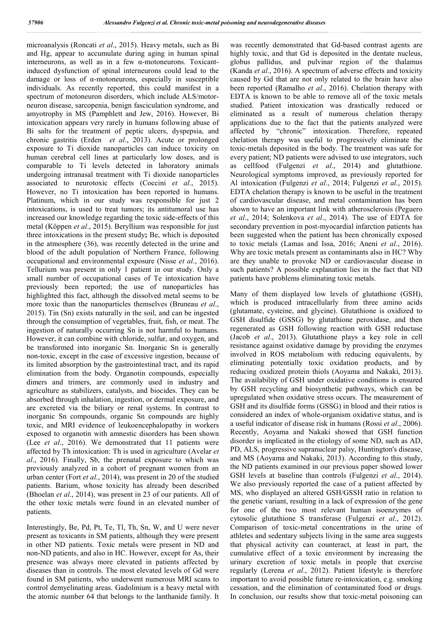microanalysis (Roncati *et al*., 2015). Heavy metals, such as Bi and Hg, appear to accumulate during aging in human spinal interneurons, as well as in a few α-motoneurons. Toxicantinduced dysfunction of spinal interneurons could lead to the damage or loss of α-motoneurons, especially in susceptible individuals. As recently reported, this could manifest in a spectrum of motoneuron disorders, which include ALS/motorneuron disease, sarcopenia, benign fasciculation syndrome, and amyotrophy in MS (Pamphlett and Jew, 2016). However, Bi intoxication appears very rarely in humans following abuse of Bi salts for the treatment of peptic ulcers, dyspepsia, and chronic gastritis (Erden *et al*., 2013). Acute or prolonged exposure to Ti dioxide nanoparticles can induce toxicity on human cerebral cell lines at particularly low doses, and is comparable to Ti levels detected in laboratory animals undergoing intranasal treatment with Ti dioxide nanoparticles associated to neurotoxic effects (Coccini *et al*., 2015). However, no Ti intoxication has been reported in humans. Platinum, which in our study was responsible for just 2 intoxications, is used to treat tumors; its antitumoral use has increased our knowledge regarding the toxic side-effects of this metal (Köppen *et al*., 2015). Beryllium was responsible for just three intoxications in the present study**;** Be, which is deposited in the atmosphere (36), was recently detected in the urine and blood of the adult population of Northern France, following occupational and environmental exposure (Nisse *et al*., 2016). Tellurium was present in only 1 patient in our study. Only a small number of occupational cases of Te intoxication have previously been reported; the use of nanoparticles has highlighted this fact, although the dissolved metal seems to be more toxic than the nanoparticles themselves (Bruneau *et al*., 2015). Tin (Sn) exists naturally in the soil, and can be ingested through the consumption of vegetables, fruit, fish, or meat. The ingestion of naturally occurring Sn is not harmful to humans. However, it can combine with chloride, sulfur, and oxygen, and be transformed into inorganic Sn. Inorganic Sn is generally non-toxic, except in the case of excessive ingestion, because of its limited absorption by the gastrointestinal tract, and its rapid elimination from the body. Organotin compounds, especially dimers and trimers, are commonly used in industry and agriculture as stabilizers, catalysts, and biocides. They can be absorbed through inhalation, ingestion, or dermal exposure, and are excreted via the biliary or renal systems. In contrast to inorganic Sn compounds, organic Sn compounds are highly toxic, and MRI evidence of leukoencephalopathy in workers exposed to organotin with amnestic disorders has been shown (Lee *et al*., 2016). We demonstrated that 11 patients were affected by Th intoxication: Th is used in agriculture (Avelar *et al*., 2016). Finally, Sb, the prenatal exposure to which was previously analyzed in a cohort of pregnant women from an urban center (Fort *et al*., 2014), was present in 20 of the studied patients. Barium, whose toxicity has already been described (Bhoelan *et al*., 2014), was present in 23 of our patients. All of the other toxic metals were found in an elevated number of patients.

Interestingly, Be, Pd, Pt, Te, Tl, Th, Sn, W, and U were never present as toxicants in SM patients, although they were present in other ND patients. Toxic metals were present in ND and non-ND patients, and also in HC. However, except for As, their presence was always more elevated in patients affected by diseases than in controls. The most elevated levels of Gd were found in SM patients, who underwent numerous MRI scans to control demyelinating areas. Gadolinium is a heavy metal with the atomic number 64 that belongs to the lanthanide family. It was recently demonstrated that Gd-based contrast agents are highly toxic, and that Gd is deposited in the dentate nucleus, globus pallidus, and pulvinar region of the thalamus (Kanda *et al*., 2016). A spectrum of adverse effects and toxicity caused by Gd that are not only related to the brain have also been reported (Ramalho *et al*., 2016). Chelation therapy with EDTA is known to be able to remove all of the toxic metals studied. Patient intoxication was drastically reduced or eliminated as a result of numerous chelation therapy applications due to the fact that the patients analyzed were affected by "chronic" intoxication. Therefore, repeated chelation therapy was useful to progressively eliminate the toxic-metals deposited in the body. The treatment was safe for every patient; ND patients were advised to use integrators, such as cellfood (Fulgenzi *et al*., 2014) and glutathione. Neurological symptoms improved, as previously reported for Al intoxication (Fulgenzi *et al*., 2014; Fulgenzi *et al*., 2015). EDTA chelation therapy is known to be useful in the treatment of cardiovascular disease, and metal contamination has been shown to have an important link with atherosclerosis (Peguero *et al*., 2014; Solenkova *et al*., 2014). The use of EDTA for secondary prevention in post-myocardial infarction patients has been suggested when the patient has been chronically exposed to toxic metals (Lamas and Issa, 2016; Aneni *et al*., 2016). Why are toxic metals present as contaminants also in HC? Why are they unable to provoke ND or cardiovascular disease in such patients? A possible explanation lies in the fact that ND patients have problems eliminating toxic metals.

Many of them displayed low levels of glutathione (GSH), which is produced intracellularly from three amino acids (glutamate, cysteine, and glycine). Glutathione is oxidized to GSH disulfide (GSSG) by glutathione peroxidase, and then regenerated as GSH following reaction with GSH reductase (Jacob *et al*., 2013). Glutathione plays a key role in cell resistance against oxidative damage by providing the enzymes involved in ROS metabolism with reducing equivalents, by eliminating potentially toxic oxidation products, and by reducing oxidized protein thiols (Aoyama and Nakaki, 2013). The availability of GSH under oxidative conditions is ensured by GSH recycling and biosynthetic pathways, which can be upregulated when oxidative stress occurs. The measurement of GSH and its disulfide forms (GSSG) in blood and their ratios is considered an index of whole-organism oxidative status, and is a useful indicator of disease risk in humans (Rossi *et al*., 2006). Recently, Aoyama and Nakaki showed that GSH function disorder is implicated in the etiology of some ND, such as AD, PD, ALS, progressive supranuclear palsy, Huntington's disease, and MS (Aoyama and Nakaki, 2013). According to this study, the ND patients examined in our previous paper showed lower GSH levels at baseline than controls (Fulgenzi *et al*., 2014). We also previously reported the case of a patient affected by MS, who displayed an altered GSH/GSSH ratio in relation to the genetic variant, resulting in a lack of expression of the gene for one of the two most relevant human isoenzymes of cytosolic glutathione S transferase (Fulgenzi *et al*., 2012). Comparison of toxic-metal concentrations in the urine of athletes and sedentary subjects living in the same area suggests that physical activity can counteract, at least in part, the cumulative effect of a toxic environment by increasing the urinary excretion of toxic metals in people that exercise regularly (Lerena *et al*., 2012). Patient lifestyle is therefore important to avoid possible future re-intoxication, e.g. smoking cessation, and the elimination of contaminated food or drugs. In conclusion, our results show that toxic-metal poisoning can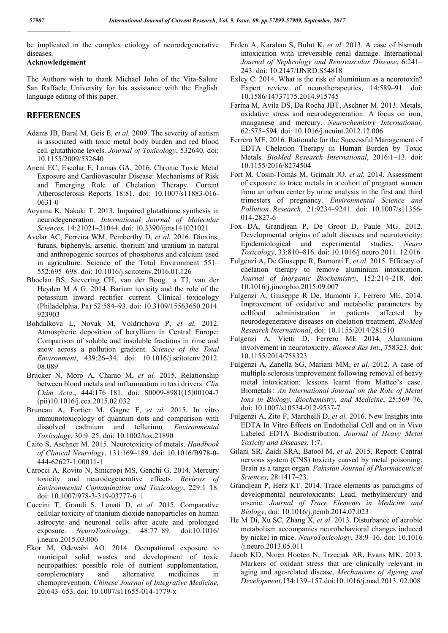be implicated in the complex etiology of neurodegenerative diseases.

### **Acknowledgement**

The Authors wish to thank Michael John of the Vita-Salute San Raffaele University for his assistance with the English language editing of this paper.

### **REFERENCES**

- Adams JB, Baral M, Geis E, *et al.* 2009. The severity of autism is associated with toxic metal body burden and red blood cell glutathione levels. *Journal of Toxicology*, 532640. doi: 10.1155/2009/532640
- Aneni EC, Escolar E, Lamas GA. 2016. Chronic Toxic Metal Exposure and Cardiovascular Disease: Mechanisms of Risk and Emerging Role of Chelation Therapy. Current Atherosclerosis Reports 18:81. doi: 10.1007/s11883-016- 0631-0
- Aoyama K, Nakaki T. 2013. Impaired glutathione synthesis in neurodegeneration. *International Journal of Molecular Sciences,* 14:21021–21044. doi: 10.3390/ijms141021021
- Avelar AC, Ferreira WM, Pemberthy D, *et al.* 2016. Dioxins, furans, biphenyls, arsenic, thorium and uranium in natural and anthropogenic sources of phosphorus and calcium used in agriculture. Science of the Total Environment 551– 552:695–698. doi: 10.1016/j.scitotenv.2016.01.126
- Bhoelan BS, Stevering CH, van der Boog a TJ, van der Heyden M A G. 2014. Barium toxicity and the role of the potassium inward rectifier current. Clinical toxicology (Philadelphia, Pa) 52:584–93. doi: 10.3109/15563650.2014. 923903
- Bohdalkova L, Novak M, Voldrichova P, *et al.* 2012. Atmospheric deposition of beryllium in Central Europe: Comparison of soluble and insoluble fractions in rime and snow across a pollution gradient. *Science of the Total Environment*, 439:26–34. doi: 10.1016/j.scitotenv.2012. 08.089
- Brucker N, Moro A, Charao M, *et al.* 2015. Relationship between blood metals and inflammation in taxi drivers. *Clin Chim Acta*., 444:176–181. doi: S0009-8981(15)00104-7 (pii)10.1016/j.cca.2015.02.032
- Bruneau A, Fortier M, Gagne F, *et al.* 2015. In vitro immunotoxicology of quantum dots and comparison with dissolved cadmium and tellurium. *Environmental Toxicology*, 30:9–25. doi: 10.1002/tox.21890
- Caito S, Aschner M. 2015. Neurotoxicity of metals. *Handbook of Clinical Neurology*, 131:169–189. doi: 10.1016/B978-0- 444-62627-1.00011-1
- Carocci A, Rovito N, Sinicropi MS, Genchi G. 2014. Mercury toxicity and neurodegenerative effects. *Reviews of Environmental Contamination and Toxicology*, 229:1–18. doi: 10.1007/978-3-319-03777-6\_1
- Coccini T, Grandi S, Lonati D, *et al.* 2015. Comparative cellular toxicity of titanium dioxide nanoparticles on human astrocyte and neuronal cells after acute and prolonged exposure. *NeuroToxicology,* 48:77–89. doi:10.1016/ j.neuro.2015.03.006
- Ekor M, Odewabi AO. 2014. Occupational exposure to municipal solid wastes and development of toxic neuropathies: possible role of nutrient supplementation, complementary and alternative medicines in chemoprevention. *Chinese Journal of Integrative Medicine,* 20:643–653. doi: 10.1007/s11655-014-1779-x
- Erden A, Karahan S, Bulut K, *et al.* 2013. A case of bismuth intoxication with irreversible renal damage. International *Journal of Nephrology and Renovascular Disease*, 6:241– 243. doi: 10.2147/IJNRD.S54818
- Exley C. 2014. What is the risk of aluminium as a neurotoxin? Expert review of neurotherapeutics, 14:589–91. doi: 10.1586/14737175.2014.915745
- Farina M, Avila DS, Da Rocha JBT, Aschner M. 2013. Metals, oxidative stress and neurodegeneration: A focus on iron, manganese and mercury. *Neurochemistry International,* 62:575–594. doi: 10.1016/j.neuint.2012.12.006
- Ferrero ME. 2016. Rationale for the Successful Management of EDTA Chelation Therapy in Human Burden by Toxic Metals. *BioMed Research International*, 2016:1–13. doi: 10.1155/2016/8274504
- Fort M, Cosín-Tomás M, Grimalt JO, *et al.* 2014. Assessment of exposure to trace metals in a cohort of pregnant women from an urban center by urine analysis in the first and third trimesters of pregnancy. *Environmental Science and Pollution Research*, 21:9234–9241. doi: 10.1007/s11356- 014-2827-6
- Fox DA, Grandjean P, De Groot D, Paule MG. 2012. Developmental origins of adult diseases and neurotoxicity: Epidemiological and experimental studies. *Neuro Toxicology*, 33:810–816. doi: 10.1016/j.neuro.2011. 12.016
- Fulgenzi A, De Giuseppe R, Bamonti F, *et al.* 2015. Efficacy of chelation therapy to remove aluminium intoxication. *Journal of Inorganic Biochemistry*, 152:214–218. doi: 10.1016/j.jinorgbio.2015.09.007
- Fulgenzi A, Giuseppe R De, Bamonti F, Ferrero ME. 2014. Improvement of oxidative and metabolic parameters by cellfood administration in patients affected by cellfood administration in patients affected by neurodegenerative diseases on chelation treatment. *BioMed Research International*, doi: 10.1155/2014/281510
- Fulgenzi A, Vietti D, Ferrero ME 2014, Aluminium involvement in neurotoxicity. *Biomed Res Int*., 758323. doi: 10.1155/2014/758323
- Fulgenzi A, Zanella SG, Mariani MM, *et al.* 2012. A case of multiple sclerosis improvement following removal of heavy metal intoxication: lessons learnt from Matteo's case. Biometals : *An International Journal on the Role of Metal Ions in Biology, Biochemistry, and Medicine*, 25:569–76. doi: 10.1007/s10534-012-9537-7
- Fulgenzi A, Zito F, Marchelli D, *et al.* 2016. New Insights into EDTA In Vitro Effects on Endothelial Cell and on in Vivo Labeled EDTA Biodistribution. *Journal of Heavy Metal Yoxicity and Diseases,* 1:7.
- Gilani SR, Zaidi SRA, Batool M, *et al.* 2015. Report: Central nervous system (CNS) toxicity caused by metal poisoning: Brain as a target organ. *Pakistan Journal of Pharmaceutical Sciences,* 28:1417–23.
- Grandjean P, Herz KT. 2014. Trace elements as paradigms of developmental neurotoxicants: Lead, methylmercury and arsenic. *Journal of Trace Elements in Medicine and Biology*, doi: 10.1016/j.jtemb.2014.07.023
- He M Di, Xu SC, Zhang X, *et al.* 2013. Disturbance of aerobic metabolism accompanies neurobehavioral changes induced by nickel in mice. *NeuroToxicology*, 38:9–16. doi: 10.1016 /j.neuro.2013.05.011
- Jacob KD, Noren Hooten N, Trzeciak AR, Evans MK. 2013. Markers of oxidant stress that are clinically relevant in aging and age-related disease. *Mechanisms of Ageing and Development*,134:139–157.doi:10.1016/j.mad.2013. 02.008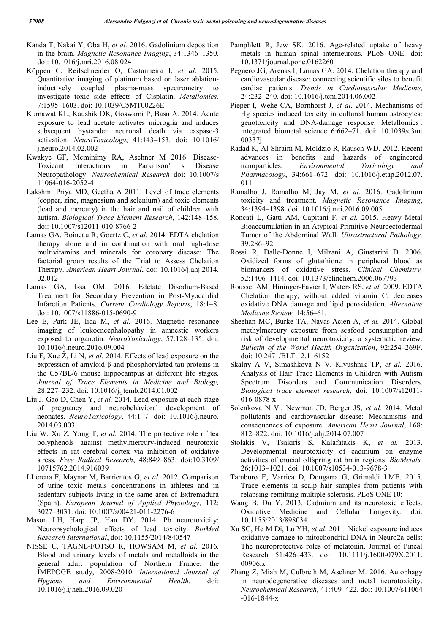- Kanda T, Nakai Y, Oba H, *et al.* 2016. Gadolinium deposition in the brain. *Magnetic Resonance Imaging*, 34:1346–1350. doi: 10.1016/j.mri.2016.08.024
- Köppen C, Reifschneider O, Castanheira I, *et al*. 2015. Quantitative imaging of platinum based on laser ablationinductively coupled plasma-mass spectrometry to investigate toxic side effects of Cisplatin. *Metallomics,* 7:1595–1603. doi: 10.1039/C5MT00226E
- Kumawat KL, Kaushik DK, Goswami P, Basu A. 2014. Acute exposure to lead acetate activates microglia and induces subsequent bystander neuronal death via caspase-3 activation. *NeuroToxicology*, 41:143–153. doi: 10.1016/ j.neuro.2014.02.002
- Kwakye GF, Mcminimy RA, Aschner M 2016. Disease-Toxicant Interactions in Parkinson' s Disease Neuropathology. *Neurochemical Research* doi: 10.1007/s 11064-016-2052-4
- Lakshmi Priya MD, Geetha A 2011. Level of trace elements (copper, zinc, magnesium and selenium) and toxic elements (lead and mercury) in the hair and nail of children with autism. *Biological Trace Element Research*, 142:148–158. doi: 10.1007/s12011-010-8766-2
- Lamas GA, Boineau R, Goertz C, *et al.* 2014. EDTA chelation therapy alone and in combination with oral high-dose multivitamins and minerals for coronary disease: The factorial group results of the Trial to Assess Chelation Therapy. *American Heart Journal*, doi: 10.1016/j.ahj.2014. 02.012
- Lamas GA, Issa OM. 2016. Edetate Disodium-Based Treatment for Secondary Prevention in Post-Myocardial Infarction Patients. *Current Cardiology Reports*, 18:1–8. doi: 10.1007/s11886-015-0690-9
- Lee E, Park JE, Iida M, *et al.* 2016. Magnetic resonance imaging of leukoencephalopathy in amnestic workers exposed to organotin. *NeuroToxicology*, 57:128–135. doi: 10.1016/j.neuro.2016.09.004
- Liu F, Xue Z, Li N, *et al*. 2014. Effects of lead exposure on the expression of amyloid β and phosphorylated tau proteins in the C57BL/6 mouse hippocampus at different life stages. *Journal of Trace Elements in Medicine and Biology,* 28:227–232. doi: 10.1016/j.jtemb.2014.01.002
- Liu J, Gao D, Chen Y, *et al.* 2014. Lead exposure at each stage of pregnancy and neurobehavioral development of neonates. *NeuroToxicology*, 44:1–7. doi: 10.1016/j.neuro. 2014.03.003
- Liu W, Xu Z, Yang T, *et al.* 2014. The protective role of tea polyphenols against methylmercury-induced neurotoxic effects in rat cerebral cortex via inhibition of oxidative stress. *Free Radical Research*, 48:849–863. doi:10.3109/ 10715762.2014.916039
- LLerena F, Maynar M, Barrientos G, *et al.* 2012. Comparison of urine toxic metals concentrations in athletes and in sedentary subjects living in the same area of Extremadura (Spain). *European Journal of Applied Physiology*, 112: 3027–3031. doi: 10.1007/s00421-011-2276-6
- Mason LH, Harp JP, Han DY. 2014. Pb neurotoxicity: Neuropsychological effects of lead toxicity. *BioMed Research International*, doi: 10.1155/2014/840547
- NISSE C, TAGNE-FOTSO R, HOWSAM M, *et al.* 2016. Blood and urinary levels of metals and metalloids in the general adult population of Northern France: the IMEPOGE study, 2008-2010. *International Journal of Hygiene and Environmental Health*, doi: 10.1016/j.ijheh.2016.09.020
- Pamphlett R, Jew SK. 2016. Age-related uptake of heavy metals in human spinal interneurons. PLoS ONE. doi: 10.1371/journal.pone.0162260
- Peguero JG, Arenas I, Lamas GA. 2014. Chelation therapy and cardiovascular disease: connecting scientific silos to benefit cardiac patients. *Trends in Cardiovascular Medicine*, 24:232–240. doi: 10.1016/j.tcm.2014.06.002
- Pieper I, Wehe CA, Bornhorst J, *et al*. 2014. Mechanisms of Hg species induced toxicity in cultured human astrocytes: genotoxicity and DNA-damage response. Metallomics : integrated biometal science 6:662–71. doi: 10.1039/c3mt 00337j
- Radad K, Al-Shraim M, Moldzio R, Rausch WD. 2012. Recent advances in benefits and hazards of engineered nanoparticles. *Environmental Toxicology and Pharmacology*, 34:661–672. doi: 10.1016/j.etap.2012.07. 011
- Ramalho J, Ramalho M, Jay M, *et al.* 2016. Gadolinium toxicity and treatment. *Magnetic Resonance Imaging*, 34:1394–1398. doi: 10.1016/j.mri.2016.09.005
- Roncati L, Gatti AM, Capitani F, *et al.* 2015. Heavy Metal Bioaccumulation in an Atypical Primitive Neuroectodermal Tumor of the Abdominal Wall. *Ultrastructural Pathology,* 39:286–92.
- Rossi R, Dalle-Donne I, Milzani A, Giustarini D. 2006. Oxidized forms of glutathione in peripheral blood as biomarkers of oxidative stress. *Clinical Chemistry,* 52:1406–1414. doi: 10.1373/clinchem.2006.067793
- Roussel AM, Hininger-Favier I, Waters RS, *et al.* 2009. EDTA Chelation therapy, without added vitamin C, decreases oxidative DNA damage and lipid peroxidation. *Alternative Medicine Review,* 14:56–61.
- Sheehan MC, Burke TA, Navas-Acien A, *et al.* 2014. Global methylmercury exposure from seafood consumption and risk of developmental neurotoxicity: a systematic review. *Bulletin of the World Health Organization*, 92:254–269F. doi: 10.2471/BLT.12.116152
- Skalny A V, Simashkova N V, Klyushnik TP, *et al.* 2016. Analysis of Hair Trace Elements in Children with Autism Spectrum Disorders and Communication Disorders. *Biological trace element research*, doi: 10.1007/s12011- 016-0878-x
- Solenkova N V., Newman JD, Berger JS, *et al.* 2014. Metal pollutants and cardiovascular disease: Mechanisms and consequences of exposure. *American Heart Journal*, 168: 812–822. doi: 10.1016/j.ahj.2014.07.007
- Stolakis V, Tsakiris S, Kalafatakis K, *et al.* 2013. Developmental neurotoxicity of cadmium on enzyme activities of crucial offspring rat brain regions. *BioMetals,* 26:1013–1021. doi: 10.1007/s10534-013-9678-3
- Tamburo E, Varrica D, Dongarra G, Grimaldi LME. 2015. Trace elements in scalp hair samples from patients with relapsing-remitting multiple sclerosis. PLoS ONE 10:
- Wang B, Du Y. 2013. Cadmium and its neurotoxic effects. Oxidative Medicine and Cellular Longevity. doi: 10.1155/2013/898034
- Xu SC, He M Di, Lu YH, *et al*. 2011. Nickel exposure induces oxidative damage to mitochondrial DNA in Neuro2a cells: The neuroprotective roles of melatonin. Journal of Pineal Research 51:426–433. doi: 10.1111/j.1600-079X.2011. 00906.x
- Zhang Z, Miah M, Culbreth M, Aschner M. 2016. Autophagy in neurodegenerative diseases and metal neurotoxicity. *Neurochemical Research*, 41:409–422. doi: 10.1007/s11064 -016-1844-x